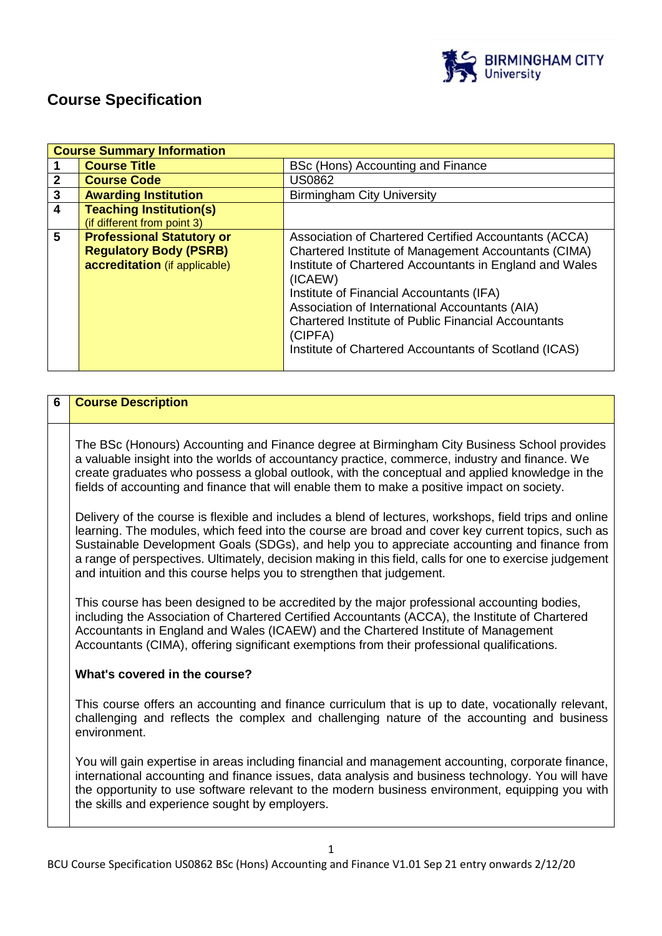

# **Course Specification**

|                         | <b>Course Summary Information</b>                                                                  |                                                                                                                                                                                                                                                                                                                                                                                                                     |
|-------------------------|----------------------------------------------------------------------------------------------------|---------------------------------------------------------------------------------------------------------------------------------------------------------------------------------------------------------------------------------------------------------------------------------------------------------------------------------------------------------------------------------------------------------------------|
|                         | <b>Course Title</b>                                                                                | BSc (Hons) Accounting and Finance                                                                                                                                                                                                                                                                                                                                                                                   |
| $\mathbf{2}$            | <b>Course Code</b>                                                                                 | <b>US0862</b>                                                                                                                                                                                                                                                                                                                                                                                                       |
| $\mathbf{3}$            | <b>Awarding Institution</b>                                                                        | <b>Birmingham City University</b>                                                                                                                                                                                                                                                                                                                                                                                   |
| $\overline{\mathbf{4}}$ | <b>Teaching Institution(s)</b><br>(if different from point 3)                                      |                                                                                                                                                                                                                                                                                                                                                                                                                     |
| 5                       | <b>Professional Statutory or</b><br><b>Regulatory Body (PSRB)</b><br>accreditation (if applicable) | Association of Chartered Certified Accountants (ACCA)<br>Chartered Institute of Management Accountants (CIMA)<br>Institute of Chartered Accountants in England and Wales<br>(ICAEW)<br>Institute of Financial Accountants (IFA)<br>Association of International Accountants (AIA)<br><b>Chartered Institute of Public Financial Accountants</b><br>(CIPFA)<br>Institute of Chartered Accountants of Scotland (ICAS) |

# **6 Course Description** The BSc (Honours) Accounting and Finance degree at Birmingham City Business School provides a valuable insight into the worlds of accountancy practice, commerce, industry and finance. We create graduates who possess a global outlook, with the conceptual and applied knowledge in the fields of accounting and finance that will enable them to make a positive impact on society. Delivery of the course is flexible and includes a blend of lectures, workshops, field trips and online learning. The modules, which feed into the course are broad and cover key current topics, such as Sustainable Development Goals (SDGs), and help you to appreciate accounting and finance from a range of perspectives. Ultimately, decision making in this field, calls for one to exercise judgement and intuition and this course helps you to strengthen that judgement. This course has been designed to be accredited by the major professional accounting bodies, including the Association of Chartered Certified Accountants (ACCA), the Institute of Chartered Accountants in England and Wales (ICAEW) and the Chartered Institute of Management Accountants (CIMA), offering significant exemptions from their professional qualifications. **What's covered in the course?**  This course offers an accounting and finance curriculum that is up to date, vocationally relevant, challenging and reflects the complex and challenging nature of the accounting and business environment. You will gain expertise in areas including financial and management accounting, corporate finance, international accounting and finance issues, data analysis and business technology. You will have the opportunity to use software relevant to the modern business environment, equipping you with the skills and experience sought by employers.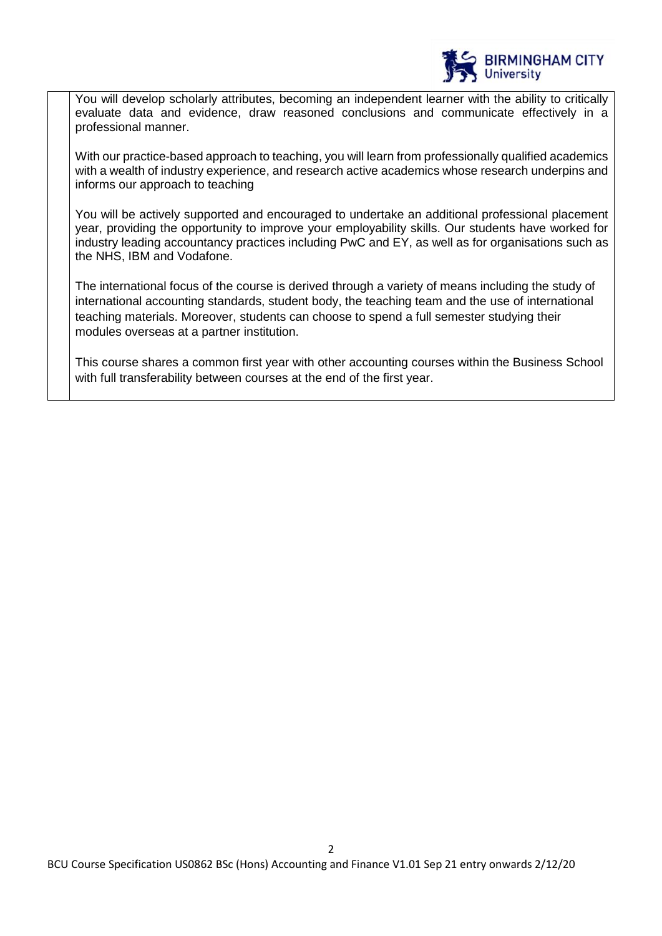

You will develop scholarly attributes, becoming an independent learner with the ability to critically evaluate data and evidence, draw reasoned conclusions and communicate effectively in a professional manner.

With our practice-based approach to teaching, you will learn from professionally qualified academics with a wealth of industry experience, and research active academics whose research underpins and informs our approach to teaching

You will be actively supported and encouraged to undertake an additional professional placement year, providing the opportunity to improve your employability skills. Our students have worked for industry leading accountancy practices including PwC and EY, as well as for organisations such as the NHS, IBM and Vodafone.

The international focus of the course is derived through a variety of means including the study of international accounting standards, student body, the teaching team and the use of international teaching materials. Moreover, students can choose to spend a full semester studying their modules overseas at a partner institution.

This course shares a common first year with other accounting courses within the Business School with full transferability between courses at the end of the first year.

 $\mathfrak{p}$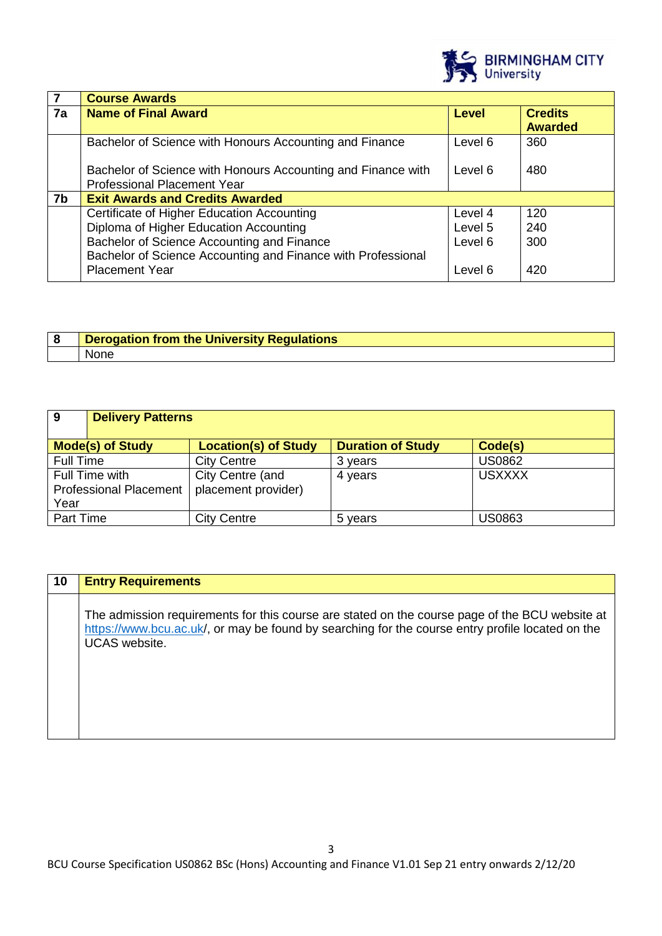

|    | <b>Course Awards</b>                                                                               |         |                                  |
|----|----------------------------------------------------------------------------------------------------|---------|----------------------------------|
| 7a | <b>Name of Final Award</b>                                                                         | Level   | <b>Credits</b><br><b>Awarded</b> |
|    | Bachelor of Science with Honours Accounting and Finance                                            | Level 6 | 360                              |
|    | Bachelor of Science with Honours Accounting and Finance with<br><b>Professional Placement Year</b> | Level 6 | 480                              |
| 7b | <b>Exit Awards and Credits Awarded</b>                                                             |         |                                  |
|    | Certificate of Higher Education Accounting                                                         | Level 4 | 120                              |
|    | Diploma of Higher Education Accounting                                                             | Level 5 | 240                              |
|    | Bachelor of Science Accounting and Finance                                                         | Level 6 | 300                              |
|    | Bachelor of Science Accounting and Finance with Professional                                       |         |                                  |
|    | <b>Placement Year</b>                                                                              | Level 6 | 420                              |

| <b>Derogation from the University Regulations</b> |
|---------------------------------------------------|
| <b>None</b>                                       |

| 9         | <b>Delivery Patterns</b>      |                             |                          |               |
|-----------|-------------------------------|-----------------------------|--------------------------|---------------|
|           | <b>Mode(s) of Study</b>       | <b>Location(s) of Study</b> | <b>Duration of Study</b> | Code(s)       |
| Full Time |                               | <b>City Centre</b>          | 3 years                  | <b>US0862</b> |
|           | Full Time with                | City Centre (and            | 4 years                  | <b>USXXXX</b> |
|           | <b>Professional Placement</b> | placement provider)         |                          |               |
| Year      |                               |                             |                          |               |
| Part Time |                               | <b>City Centre</b>          | 5 years                  | <b>US0863</b> |

| 10 | <b>Entry Requirements</b>                                                                                                                                                                                                  |
|----|----------------------------------------------------------------------------------------------------------------------------------------------------------------------------------------------------------------------------|
|    | The admission requirements for this course are stated on the course page of the BCU website at<br>https://www.bcu.ac.uk/, or may be found by searching for the course entry profile located on the<br><b>UCAS</b> website. |
|    |                                                                                                                                                                                                                            |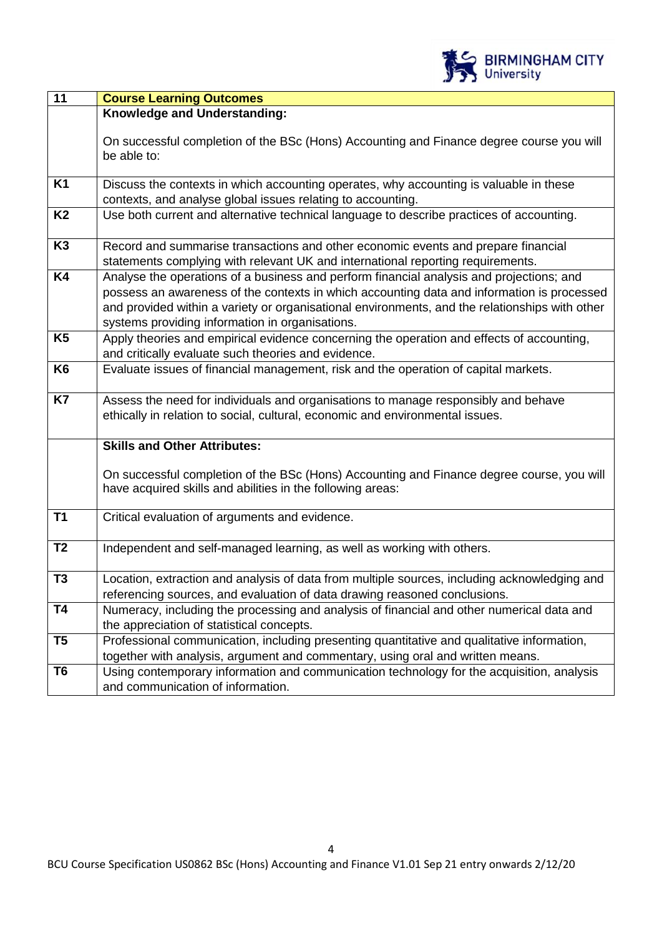

| 11             | <b>Course Learning Outcomes</b>                                                                |
|----------------|------------------------------------------------------------------------------------------------|
|                | Knowledge and Understanding:                                                                   |
|                |                                                                                                |
|                | On successful completion of the BSc (Hons) Accounting and Finance degree course you will       |
|                | be able to:                                                                                    |
| <b>K1</b>      | Discuss the contexts in which accounting operates, why accounting is valuable in these         |
|                | contexts, and analyse global issues relating to accounting.                                    |
| <b>K2</b>      | Use both current and alternative technical language to describe practices of accounting.       |
|                |                                                                                                |
| K <sub>3</sub> | Record and summarise transactions and other economic events and prepare financial              |
|                | statements complying with relevant UK and international reporting requirements.                |
| K4             | Analyse the operations of a business and perform financial analysis and projections; and       |
|                | possess an awareness of the contexts in which accounting data and information is processed     |
|                | and provided within a variety or organisational environments, and the relationships with other |
|                | systems providing information in organisations.                                                |
| K <sub>5</sub> | Apply theories and empirical evidence concerning the operation and effects of accounting,      |
|                | and critically evaluate such theories and evidence.                                            |
| K <sub>6</sub> | Evaluate issues of financial management, risk and the operation of capital markets.            |
|                |                                                                                                |
| K7             | Assess the need for individuals and organisations to manage responsibly and behave             |
|                | ethically in relation to social, cultural, economic and environmental issues.                  |
|                |                                                                                                |
|                | <b>Skills and Other Attributes:</b>                                                            |
|                |                                                                                                |
|                | On successful completion of the BSc (Hons) Accounting and Finance degree course, you will      |
|                | have acquired skills and abilities in the following areas:                                     |
|                |                                                                                                |
| <b>T1</b>      | Critical evaluation of arguments and evidence.                                                 |
|                |                                                                                                |
| T <sub>2</sub> | Independent and self-managed learning, as well as working with others.                         |
|                |                                                                                                |
| T <sub>3</sub> | Location, extraction and analysis of data from multiple sources, including acknowledging and   |
|                | referencing sources, and evaluation of data drawing reasoned conclusions.                      |
| T <sub>4</sub> | Numeracy, including the processing and analysis of financial and other numerical data and      |
|                | the appreciation of statistical concepts.                                                      |
| T <sub>5</sub> | Professional communication, including presenting quantitative and qualitative information,     |
|                | together with analysis, argument and commentary, using oral and written means.                 |
| T <sub>6</sub> | Using contemporary information and communication technology for the acquisition, analysis      |
|                | and communication of information.                                                              |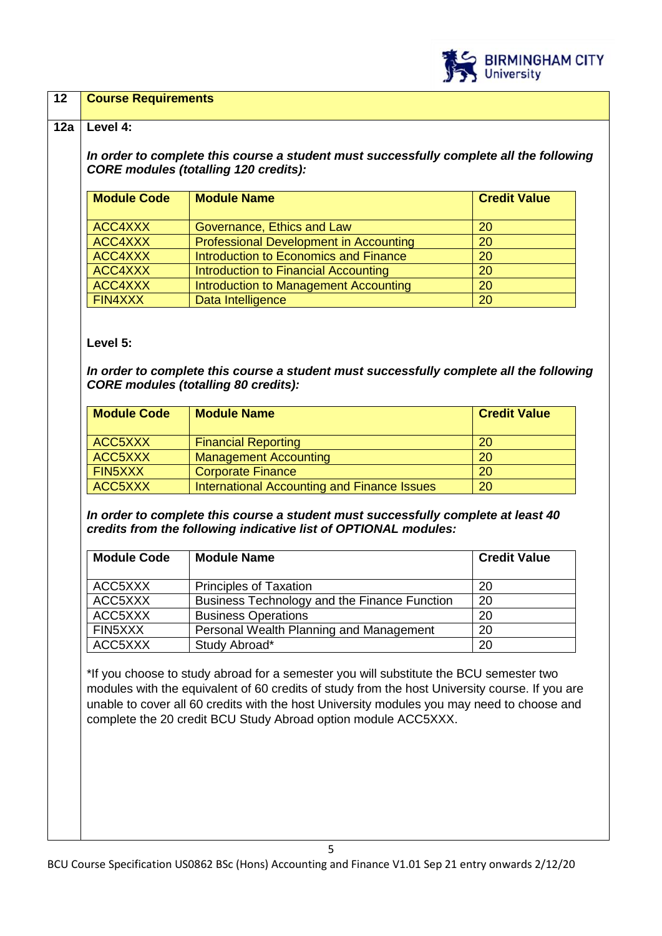

### **12 Course Requirements**

#### **12a Level 4:**

*In order to complete this course a student must successfully complete all the following CORE modules (totalling 120 credits):*

| <b>Module Code</b> | <b>Module Name</b>                     | <b>Credit Value</b> |
|--------------------|----------------------------------------|---------------------|
|                    |                                        |                     |
| ACC4XXX            | Governance, Ethics and Law             | 20                  |
| ACC4XXX            | Professional Development in Accounting | 20                  |
| ACC4XXX            | Introduction to Economics and Finance  | 20                  |
| ACC4XXX            | Introduction to Financial Accounting   | 20                  |
| ACC4XXX            | Introduction to Management Accounting  | 20                  |
| FIN4XXX            | Data Intelligence                      | 20                  |

### **Level 5:**

*In order to complete this course a student must successfully complete all the following CORE modules (totalling 80 credits):*

| <b>Module Code</b> | <b>Module Name</b>                          | <b>Credit Value</b> |
|--------------------|---------------------------------------------|---------------------|
| ACC5XXX            | <b>Financial Reporting</b>                  | <b>20</b>           |
| ACC5XXX            | <b>Management Accounting</b>                | <b>20</b>           |
| FIN5XXX            | <b>Corporate Finance</b>                    | <b>20</b>           |
| ACC5XXX            | International Accounting and Finance Issues | 20                  |

*In order to complete this course a student must successfully complete at least 40 credits from the following indicative list of OPTIONAL modules:*

| <b>Module Code</b> | <b>Module Name</b>                           | <b>Credit Value</b> |
|--------------------|----------------------------------------------|---------------------|
| ACC5XXX            | <b>Principles of Taxation</b>                | 20                  |
| ACC5XXX            | Business Technology and the Finance Function | 20                  |
| ACC5XXX            | <b>Business Operations</b>                   | 20                  |
| FIN5XXX            | Personal Wealth Planning and Management      | 20                  |
| ACC5XXX            | Study Abroad*                                | 20                  |

\*If you choose to study abroad for a semester you will substitute the BCU semester two modules with the equivalent of 60 credits of study from the host University course. If you are unable to cover all 60 credits with the host University modules you may need to choose and complete the 20 credit BCU Study Abroad option module ACC5XXX.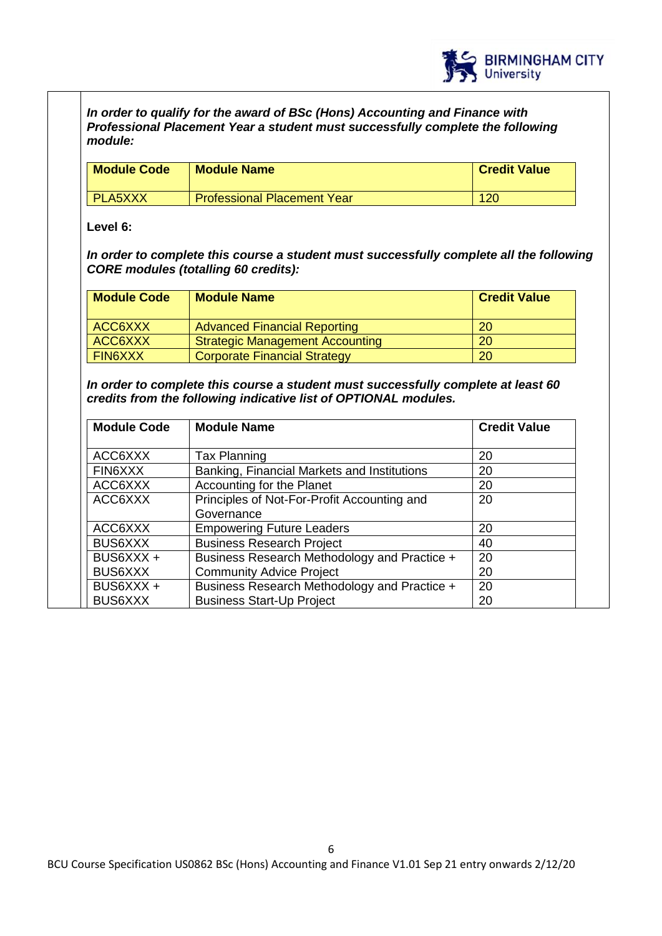

*In order to qualify for the award of BSc (Hons) Accounting and Finance with Professional Placement Year a student must successfully complete the following module:*

| <b>Module Code</b> | <b>Module Name</b>                 | <b>Credit Value</b> |
|--------------------|------------------------------------|---------------------|
| <b>PLA5XXX</b>     | <b>Professional Placement Year</b> | 120                 |

**Level 6:**

*In order to complete this course a student must successfully complete all the following CORE modules (totalling 60 credits):*

| <b>Module Code</b> | <b>Module Name</b>                     | <b>Credit Value</b> |
|--------------------|----------------------------------------|---------------------|
| ACC6XXX            | <b>Advanced Financial Reporting</b>    | -20                 |
| ACC6XXX            | <b>Strategic Management Accounting</b> | <b>20</b>           |
| <b>FIN6XXX</b>     | <b>Corporate Financial Strategy</b>    | <b>20</b>           |

*In order to complete this course a student must successfully complete at least 60 credits from the following indicative list of OPTIONAL modules.* 

| <b>Module Code</b> | <b>Module Name</b>                           | <b>Credit Value</b> |
|--------------------|----------------------------------------------|---------------------|
| ACC6XXX            | <b>Tax Planning</b>                          | 20                  |
| FIN6XXX            | Banking, Financial Markets and Institutions  | 20                  |
| ACC6XXX            | Accounting for the Planet                    | 20                  |
| ACC6XXX            | Principles of Not-For-Profit Accounting and  | 20                  |
|                    | Governance                                   |                     |
| ACC6XXX            | <b>Empowering Future Leaders</b>             | 20                  |
| <b>BUS6XXX</b>     | <b>Business Research Project</b>             | 40                  |
| BUS6XXX +          | Business Research Methodology and Practice + | 20                  |
| BUS6XXX            | <b>Community Advice Project</b>              | 20                  |
| BUS6XXX +          | Business Research Methodology and Practice + | 20                  |
| <b>BUS6XXX</b>     | <b>Business Start-Up Project</b>             | 20                  |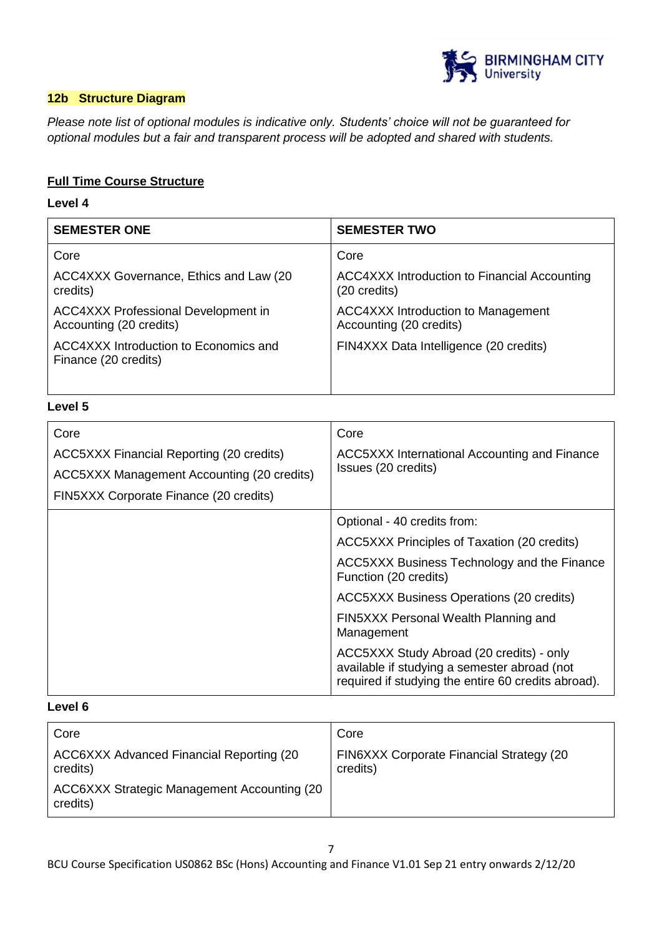

### **12b Structure Diagram**

*Please note list of optional modules is indicative only. Students' choice will not be guaranteed for optional modules but a fair and transparent process will be adopted and shared with students.*

### **Full Time Course Structure**

#### **Level 4**

| <b>SEMESTER ONE</b>                                                   | <b>SEMESTER TWO</b>                                                  |
|-----------------------------------------------------------------------|----------------------------------------------------------------------|
| Core                                                                  | Core                                                                 |
| ACC4XXX Governance, Ethics and Law (20)<br>credits)                   | <b>ACC4XXX Introduction to Financial Accounting</b><br>(20 credits)  |
| <b>ACC4XXX Professional Development in</b><br>Accounting (20 credits) | <b>ACC4XXX Introduction to Management</b><br>Accounting (20 credits) |
| ACC4XXX Introduction to Economics and<br>Finance (20 credits)         | FIN4XXX Data Intelligence (20 credits)                               |
|                                                                       |                                                                      |

### **Level 5**

| Core<br>ACC5XXX Financial Reporting (20 credits)<br>ACC5XXX Management Accounting (20 credits)<br>FIN5XXX Corporate Finance (20 credits) | Core<br>ACC5XXX International Accounting and Finance<br>Issues (20 credits)                                                                     |
|------------------------------------------------------------------------------------------------------------------------------------------|-------------------------------------------------------------------------------------------------------------------------------------------------|
|                                                                                                                                          | Optional - 40 credits from:                                                                                                                     |
|                                                                                                                                          | ACC5XXX Principles of Taxation (20 credits)                                                                                                     |
|                                                                                                                                          | ACC5XXX Business Technology and the Finance<br>Function (20 credits)                                                                            |
|                                                                                                                                          | <b>ACC5XXX Business Operations (20 credits)</b>                                                                                                 |
|                                                                                                                                          | FIN5XXX Personal Wealth Planning and<br>Management                                                                                              |
|                                                                                                                                          | ACC5XXX Study Abroad (20 credits) - only<br>available if studying a semester abroad (not<br>required if studying the entire 60 credits abroad). |

### **Level 6**

| Core                                                    | Core                                                         |
|---------------------------------------------------------|--------------------------------------------------------------|
| ACC6XXX Advanced Financial Reporting (20<br>credits)    | <b>FIN6XXX Corporate Financial Strategy (20)</b><br>credits) |
| ACC6XXX Strategic Management Accounting (20<br>credits) |                                                              |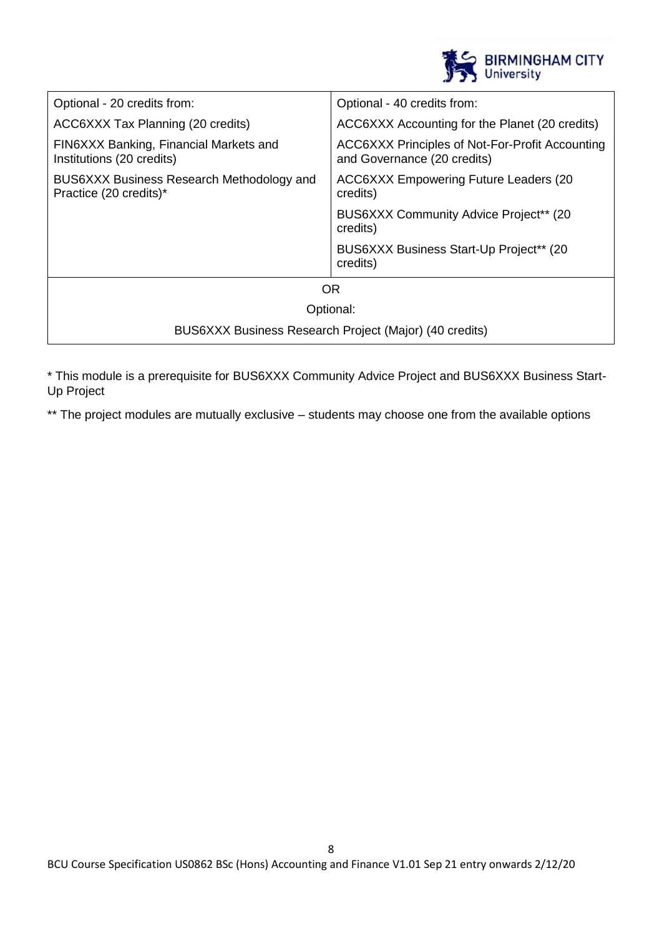

| Optional - 20 credits from:                                         | Optional - 40 credits from:                                                    |  |
|---------------------------------------------------------------------|--------------------------------------------------------------------------------|--|
| ACC6XXX Tax Planning (20 credits)                                   | ACC6XXX Accounting for the Planet (20 credits)                                 |  |
| FIN6XXX Banking, Financial Markets and<br>Institutions (20 credits) | ACC6XXX Principles of Not-For-Profit Accounting<br>and Governance (20 credits) |  |
| BUS6XXX Business Research Methodology and<br>Practice (20 credits)* | ACC6XXX Empowering Future Leaders (20)<br>credits)                             |  |
|                                                                     | BUS6XXX Community Advice Project <sup>**</sup> (20)<br>credits)                |  |
|                                                                     | BUS6XXX Business Start-Up Project** (20)<br>credits)                           |  |
| OR.                                                                 |                                                                                |  |
| Optional:                                                           |                                                                                |  |
| BUS6XXX Business Research Project (Major) (40 credits)              |                                                                                |  |

\* This module is a prerequisite for BUS6XXX Community Advice Project and BUS6XXX Business Start-Up Project

\*\* The project modules are mutually exclusive – students may choose one from the available options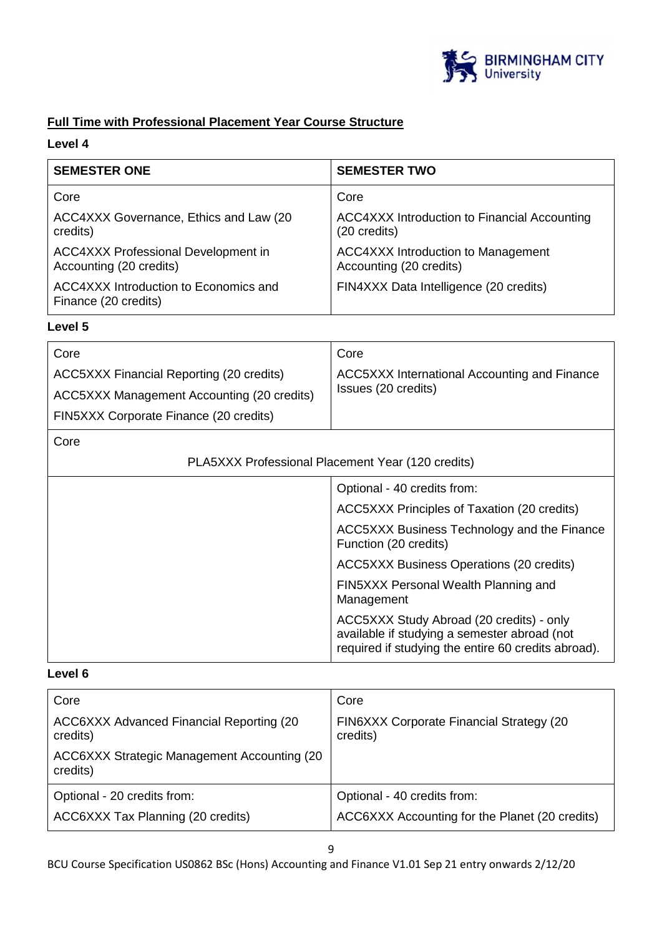

# **Full Time with Professional Placement Year Course Structure**

## **Level 4**

| <b>SEMESTER ONE</b>                                                   | <b>SEMESTER TWO</b>                                                  |
|-----------------------------------------------------------------------|----------------------------------------------------------------------|
| Core                                                                  | Core                                                                 |
| ACC4XXX Governance, Ethics and Law (20<br>credits)                    | <b>ACC4XXX Introduction to Financial Accounting</b><br>(20 credits)  |
| <b>ACC4XXX Professional Development in</b><br>Accounting (20 credits) | <b>ACC4XXX Introduction to Management</b><br>Accounting (20 credits) |
| ACC4XXX Introduction to Economics and<br>Finance (20 credits)         | FIN4XXX Data Intelligence (20 credits)                               |

### **Level 5**

| Core                                       | Core                                                |
|--------------------------------------------|-----------------------------------------------------|
| ACC5XXX Financial Reporting (20 credits)   | <b>ACC5XXX International Accounting and Finance</b> |
| ACC5XXX Management Accounting (20 credits) | Issues (20 credits)                                 |
| FIN5XXX Corporate Finance (20 credits)     |                                                     |

### Core

| vuv                                               |                                                                                                                                                 |
|---------------------------------------------------|-------------------------------------------------------------------------------------------------------------------------------------------------|
| PLA5XXX Professional Placement Year (120 credits) |                                                                                                                                                 |
|                                                   | Optional - 40 credits from:                                                                                                                     |
|                                                   | ACC5XXX Principles of Taxation (20 credits)                                                                                                     |
|                                                   | ACC5XXX Business Technology and the Finance<br>Function (20 credits)                                                                            |
|                                                   | <b>ACC5XXX Business Operations (20 credits)</b>                                                                                                 |
|                                                   | FIN5XXX Personal Wealth Planning and<br>Management                                                                                              |
|                                                   | ACC5XXX Study Abroad (20 credits) - only<br>available if studying a semester abroad (not<br>required if studying the entire 60 credits abroad). |

### **Level 6**

| Core                                                         | Core                                                 |
|--------------------------------------------------------------|------------------------------------------------------|
| <b>ACC6XXX Advanced Financial Reporting (20)</b><br>credits) | FIN6XXX Corporate Financial Strategy (20<br>credits) |
| ACC6XXX Strategic Management Accounting (20<br>credits)      |                                                      |
| Optional - 20 credits from:                                  | Optional - 40 credits from:                          |
| ACC6XXX Tax Planning (20 credits)                            | ACC6XXX Accounting for the Planet (20 credits)       |

BCU Course Specification US0862 BSc (Hons) Accounting and Finance V1.01 Sep 21 entry onwards 2/12/20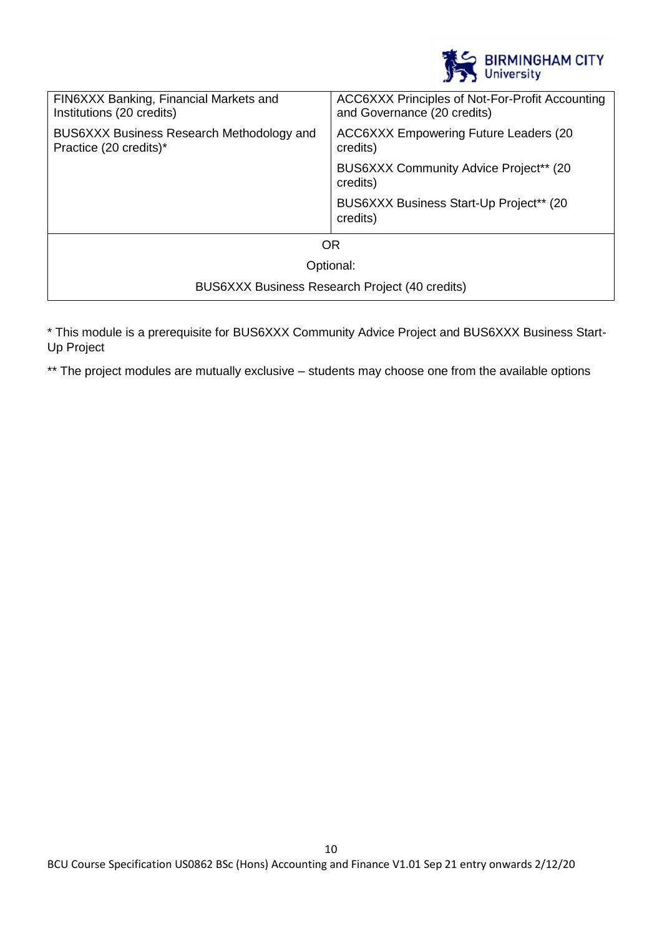

| FIN6XXX Banking, Financial Markets and<br>Institutions (20 credits) | ACC6XXX Principles of Not-For-Profit Accounting<br>and Governance (20 credits) |
|---------------------------------------------------------------------|--------------------------------------------------------------------------------|
| BUS6XXX Business Research Methodology and<br>Practice (20 credits)* | <b>ACC6XXX Empowering Future Leaders (20)</b><br>credits)                      |
|                                                                     | BUS6XXX Community Advice Project** (20)<br>credits)                            |
|                                                                     | BUS6XXX Business Start-Up Project** (20<br>credits)                            |
| <b>OR</b>                                                           |                                                                                |
| Optional:                                                           |                                                                                |
| BUS6XXX Business Research Project (40 credits)                      |                                                                                |

\* This module is a prerequisite for BUS6XXX Community Advice Project and BUS6XXX Business Start-Up Project

\*\* The project modules are mutually exclusive – students may choose one from the available options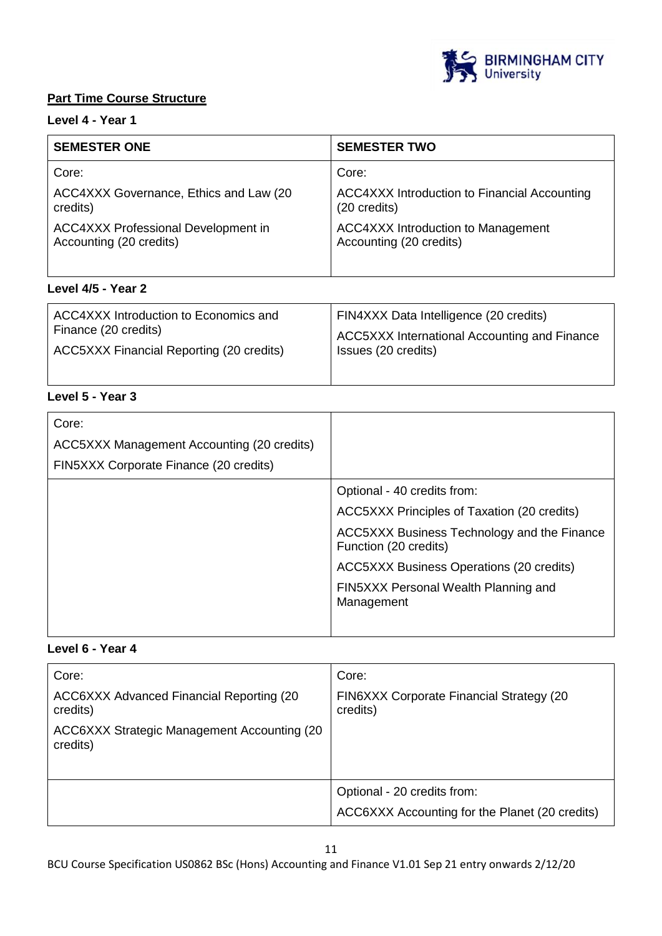

### **Part Time Course Structure**

# **Level 4 - Year 1**

| <b>SEMESTER ONE</b>                    | <b>SEMESTER TWO</b>                                 |
|----------------------------------------|-----------------------------------------------------|
| Core:                                  | Core:                                               |
| ACC4XXX Governance, Ethics and Law (20 | <b>ACC4XXX Introduction to Financial Accounting</b> |
| credits)                               | (20 credits)                                        |
| ACC4XXX Professional Development in    | <b>ACC4XXX Introduction to Management</b>           |
| Accounting (20 credits)                | Accounting (20 credits)                             |

# **Level 4/5 - Year 2**

| ACC4XXX Introduction to Economics and    | FIN4XXX Data Intelligence (20 credits)       |
|------------------------------------------|----------------------------------------------|
| Finance (20 credits)                     | ACC5XXX International Accounting and Finance |
| ACC5XXX Financial Reporting (20 credits) | Issues (20 credits)                          |

# **Level 5 - Year 3**

| Core:                                      |                                                                      |
|--------------------------------------------|----------------------------------------------------------------------|
| ACC5XXX Management Accounting (20 credits) |                                                                      |
| FIN5XXX Corporate Finance (20 credits)     |                                                                      |
|                                            | Optional - 40 credits from:                                          |
|                                            | ACC5XXX Principles of Taxation (20 credits)                          |
|                                            | ACC5XXX Business Technology and the Finance<br>Function (20 credits) |
|                                            | <b>ACC5XXX Business Operations (20 credits)</b>                      |
|                                            | FIN5XXX Personal Wealth Planning and<br>Management                   |
|                                            |                                                                      |

# **Level 6 - Year 4**

| Core:                                                    | Core:                                                |
|----------------------------------------------------------|------------------------------------------------------|
| ACC6XXX Advanced Financial Reporting (20)<br>credits)    | FIN6XXX Corporate Financial Strategy (20<br>credits) |
| ACC6XXX Strategic Management Accounting (20)<br>credits) |                                                      |
|                                                          | Optional - 20 credits from:                          |
|                                                          | ACC6XXX Accounting for the Planet (20 credits)       |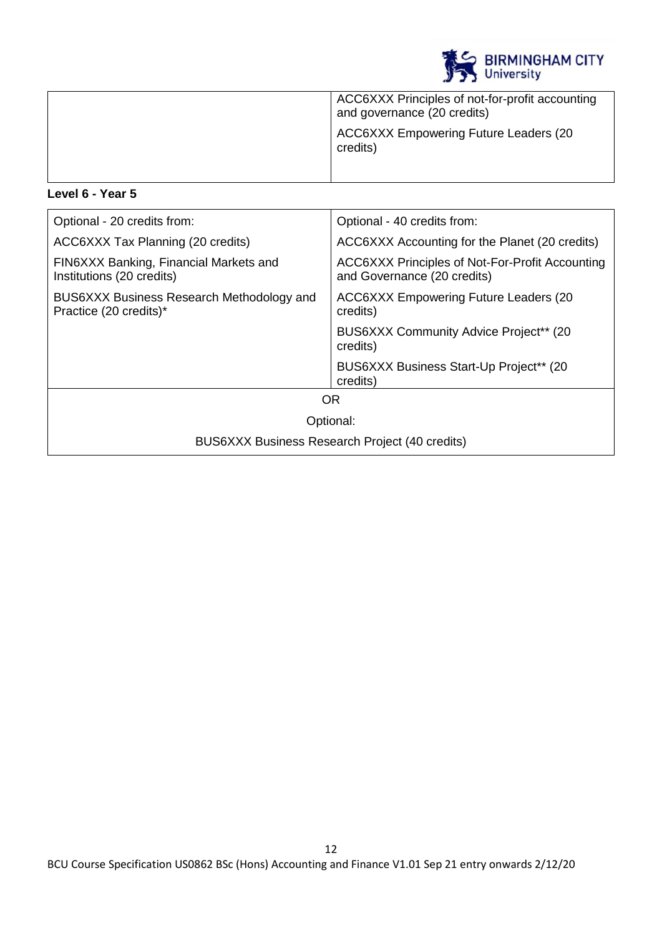

| ACC6XXX Principles of not-for-profit accounting<br>and governance (20 credits) |
|--------------------------------------------------------------------------------|
| <b>ACC6XXX Empowering Future Leaders (20</b><br>credits)                       |
|                                                                                |

# **Level 6 - Year 5**

| Optional - 20 credits from:                                         | Optional - 40 credits from:                                                    |
|---------------------------------------------------------------------|--------------------------------------------------------------------------------|
| ACC6XXX Tax Planning (20 credits)                                   | ACC6XXX Accounting for the Planet (20 credits)                                 |
| FIN6XXX Banking, Financial Markets and<br>Institutions (20 credits) | ACC6XXX Principles of Not-For-Profit Accounting<br>and Governance (20 credits) |
| BUS6XXX Business Research Methodology and<br>Practice (20 credits)* | <b>ACC6XXX Empowering Future Leaders (20)</b><br>credits)                      |
|                                                                     | BUS6XXX Community Advice Project** (20)<br>credits)                            |
|                                                                     | BUS6XXX Business Start-Up Project** (20)<br>credits)                           |
| <b>OR</b>                                                           |                                                                                |
| Optional:                                                           |                                                                                |
| BUS6XXX Business Research Project (40 credits)                      |                                                                                |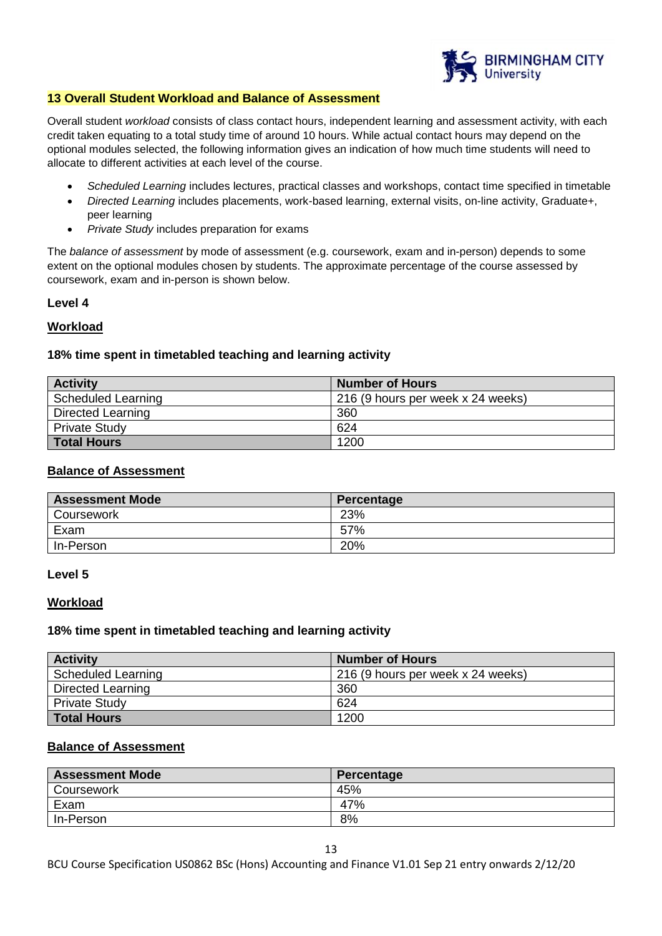

#### **13 Overall Student Workload and Balance of Assessment**

Overall student *workload* consists of class contact hours, independent learning and assessment activity, with each credit taken equating to a total study time of around 10 hours. While actual contact hours may depend on the optional modules selected, the following information gives an indication of how much time students will need to allocate to different activities at each level of the course.

- *Scheduled Learning* includes lectures, practical classes and workshops, contact time specified in timetable
- *Directed Learning* includes placements, work-based learning, external visits, on-line activity, Graduate+, peer learning
- *Private Study* includes preparation for exams

The *balance of assessment* by mode of assessment (e.g. coursework, exam and in-person) depends to some extent on the optional modules chosen by students. The approximate percentage of the course assessed by coursework, exam and in-person is shown below.

### **Level 4**

### **Workload**

### **18% time spent in timetabled teaching and learning activity**

| <b>Activity</b>          | <b>Number of Hours</b>            |
|--------------------------|-----------------------------------|
| Scheduled Learning       | 216 (9 hours per week x 24 weeks) |
| <b>Directed Learning</b> | 360                               |
| Private Study            | 624                               |
| <b>Total Hours</b>       | 1200                              |

#### **Balance of Assessment**

| <b>Assessment Mode</b> | Percentage |
|------------------------|------------|
| Coursework             | 23%        |
| Exam                   | 57%        |
| In-Person              | 20%        |

#### **Level 5**

#### **Workload**

#### **18% time spent in timetabled teaching and learning activity**

| <b>Activity</b>           | <b>Number of Hours</b>            |
|---------------------------|-----------------------------------|
| <b>Scheduled Learning</b> | 216 (9 hours per week x 24 weeks) |
| Directed Learning         | 360                               |
| <b>Private Study</b>      | 624                               |
| <b>Total Hours</b>        | 1200                              |

### **Balance of Assessment**

| <b>Assessment Mode</b> | Percentage |
|------------------------|------------|
| Coursework             | 45%        |
| Exam                   | 47%        |
| In-Person              | 8%         |

BCU Course Specification US0862 BSc (Hons) Accounting and Finance V1.01 Sep 21 entry onwards 2/12/20